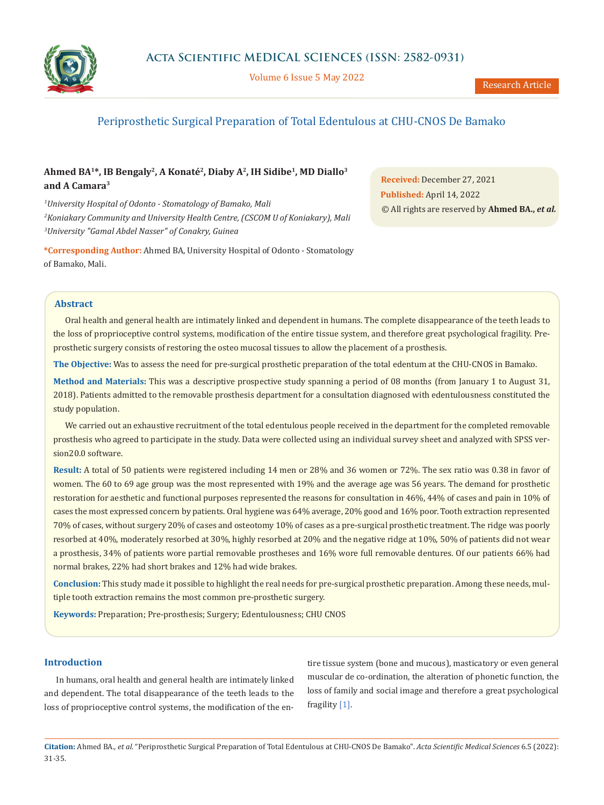

Volume 6 Issue 5 May 2022

# Periprosthetic Surgical Preparation of Total Edentulous at CHU-CNOS De Bamako

# **Ahmed BA1\*, IB Bengaly2, A Konaté2, Diaby A2, IH Sidibe1, MD Diallo3 and A Camara3**

*1 University Hospital of Odonto - Stomatology of Bamako, Mali 2 Koniakary Community and University Health Centre, (CSCOM U of Koniakary), Mali 3 University "Gamal Abdel Nasser" of Conakry, Guinea*

**\*Corresponding Author:** Ahmed BA, University Hospital of Odonto - Stomatology of Bamako, Mali.

**Received:** December 27, 2021 **Published:** April 14, 2022 © All rights are reserved by **Ahmed BA.,** *et al.*

## **Abstract**

Oral health and general health are intimately linked and dependent in humans. The complete disappearance of the teeth leads to the loss of proprioceptive control systems, modification of the entire tissue system, and therefore great psychological fragility. Preprosthetic surgery consists of restoring the osteo mucosal tissues to allow the placement of a prosthesis.

**The Objective:** Was to assess the need for pre-surgical prosthetic preparation of the total edentum at the CHU-CNOS in Bamako.

**Method and Materials:** This was a descriptive prospective study spanning a period of 08 months (from January 1 to August 31, 2018). Patients admitted to the removable prosthesis department for a consultation diagnosed with edentulousness constituted the study population.

We carried out an exhaustive recruitment of the total edentulous people received in the department for the completed removable prosthesis who agreed to participate in the study. Data were collected using an individual survey sheet and analyzed with SPSS version20.0 software.

**Result:** A total of 50 patients were registered including 14 men or 28% and 36 women or 72%. The sex ratio was 0.38 in favor of women. The 60 to 69 age group was the most represented with 19% and the average age was 56 years. The demand for prosthetic restoration for aesthetic and functional purposes represented the reasons for consultation in 46%, 44% of cases and pain in 10% of cases the most expressed concern by patients. Oral hygiene was 64% average, 20% good and 16% poor. Tooth extraction represented 70% of cases, without surgery 20% of cases and osteotomy 10% of cases as a pre-surgical prosthetic treatment. The ridge was poorly resorbed at 40%, moderately resorbed at 30%, highly resorbed at 20% and the negative ridge at 10%, 50% of patients did not wear a prosthesis, 34% of patients wore partial removable prostheses and 16% wore full removable dentures. Of our patients 66% had normal brakes, 22% had short brakes and 12% had wide brakes.

**Conclusion:** This study made it possible to highlight the real needs for pre-surgical prosthetic preparation. Among these needs, multiple tooth extraction remains the most common pre-prosthetic surgery.

**Keywords:** Preparation; Pre-prosthesis; Surgery; Edentulousness; CHU CNOS

## **Introduction**

In humans, oral health and general health are intimately linked and dependent. The total disappearance of the teeth leads to the loss of proprioceptive control systems, the modification of the en-

tire tissue system (bone and mucous), masticatory or even general muscular de co-ordination, the alteration of phonetic function, the loss of family and social image and therefore a great psychological fragility [1].

**Citation:** Ahmed BA*., et al.* "Periprosthetic Surgical Preparation of Total Edentulous at CHU-CNOS De Bamako". *Acta Scientific Medical Sciences* 6.5 (2022): 31-35.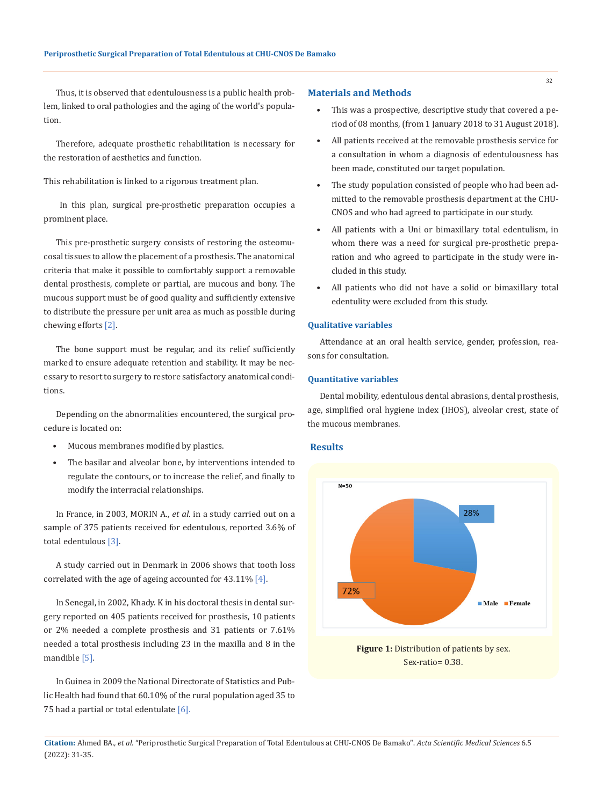Thus, it is observed that edentulousness is a public health problem, linked to oral pathologies and the aging of the world's population.

Therefore, adequate prosthetic rehabilitation is necessary for the restoration of aesthetics and function.

This rehabilitation is linked to a rigorous treatment plan.

 In this plan, surgical pre-prosthetic preparation occupies a prominent place.

This pre-prosthetic surgery consists of restoring the osteomucosal tissues to allow the placement of a prosthesis. The anatomical criteria that make it possible to comfortably support a removable dental prosthesis, complete or partial, are mucous and bony. The mucous support must be of good quality and sufficiently extensive to distribute the pressure per unit area as much as possible during chewing efforts [2].

The bone support must be regular, and its relief sufficiently marked to ensure adequate retention and stability. It may be necessary to resort to surgery to restore satisfactory anatomical conditions.

Depending on the abnormalities encountered, the surgical procedure is located on:

- Mucous membranes modified by plastics.
- The basilar and alveolar bone, by interventions intended to regulate the contours, or to increase the relief, and finally to modify the interracial relationships.

In France, in 2003, MORIN A., *et al*. in a study carried out on a sample of 375 patients received for edentulous, reported 3.6% of total edentulous [3].

A study carried out in Denmark in 2006 shows that tooth loss correlated with the age of ageing accounted for  $43.11\%$  [4].

In Senegal, in 2002, Khady. K in his doctoral thesis in dental surgery reported on 405 patients received for prosthesis, 10 patients or 2% needed a complete prosthesis and 31 patients or 7.61% needed a total prosthesis including 23 in the maxilla and 8 in the mandible [5].

In Guinea in 2009 the National Directorate of Statistics and Public Health had found that 60.10% of the rural population aged 35 to 75 had a partial or total edentulate  $[6]$ .

# **Materials and Methods**

- This was a prospective, descriptive study that covered a period of 08 months, (from 1 January 2018 to 31 August 2018).
- All patients received at the removable prosthesis service for a consultation in whom a diagnosis of edentulousness has been made, constituted our target population.
- The study population consisted of people who had been admitted to the removable prosthesis department at the CHU-CNOS and who had agreed to participate in our study.
- All patients with a Uni or bimaxillary total edentulism, in whom there was a need for surgical pre-prosthetic preparation and who agreed to participate in the study were included in this study.
- All patients who did not have a solid or bimaxillary total edentulity were excluded from this study.

#### **Qualitative variables**

Attendance at an oral health service, gender, profession, reasons for consultation.

# **Quantitative variables**

Dental mobility, edentulous dental abrasions, dental prosthesis, age, simplified oral hygiene index (IHOS), alveolar crest, state of the mucous membranes.

### **Results**



**Figure 1:** Distribution of patients by sex. Sex-ratio= 0.38.

**Citation:** Ahmed BA*., et al.* "Periprosthetic Surgical Preparation of Total Edentulous at CHU-CNOS De Bamako". *Acta Scientific Medical Sciences* 6.5 (2022): 31-35.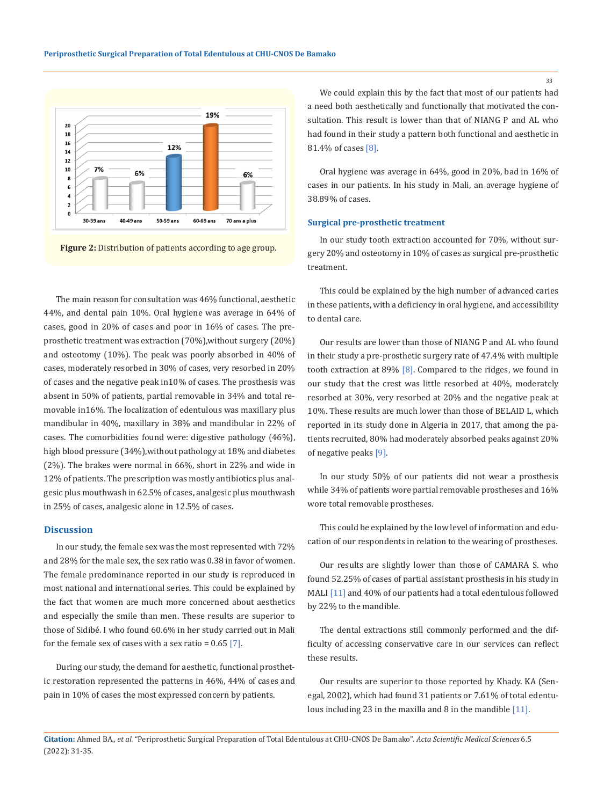



The main reason for consultation was 46% functional, aesthetic 44%, and dental pain 10%. Oral hygiene was average in 64% of cases, good in 20% of cases and poor in 16% of cases. The preprosthetic treatment was extraction (70%),without surgery (20%) and osteotomy (10%). The peak was poorly absorbed in 40% of cases, moderately resorbed in 30% of cases, very resorbed in 20% of cases and the negative peak in10% of cases. The prosthesis was absent in 50% of patients, partial removable in 34% and total removable in16%. The localization of edentulous was maxillary plus mandibular in 40%, maxillary in 38% and mandibular in 22% of cases. The comorbidities found were: digestive pathology (46%), high blood pressure (34%),without pathology at 18% and diabetes (2%). The brakes were normal in 66%, short in 22% and wide in 12% of patients. The prescription was mostly antibiotics plus analgesic plus mouthwash in 62.5% of cases, analgesic plus mouthwash in 25% of cases, analgesic alone in 12.5% of cases.

#### **Discussion**

In our study, the female sex was the most represented with 72% and 28% for the male sex, the sex ratio was 0.38 in favor of women. The female predominance reported in our study is reproduced in most national and international series. This could be explained by the fact that women are much more concerned about aesthetics and especially the smile than men. These results are superior to those of Sidibé. I who found 60.6% in her study carried out in Mali for the female sex of cases with a sex ratio =  $0.65$  [7].

During our study, the demand for aesthetic, functional prosthetic restoration represented the patterns in 46%, 44% of cases and pain in 10% of cases the most expressed concern by patients.

We could explain this by the fact that most of our patients had a need both aesthetically and functionally that motivated the consultation. This result is lower than that of NIANG P and AL who had found in their study a pattern both functional and aesthetic in 81.4% of cases [8].

Oral hygiene was average in 64%, good in 20%, bad in 16% of cases in our patients. In his study in Mali, an average hygiene of 38.89% of cases.

### **Surgical pre-prosthetic treatment**

In our study tooth extraction accounted for 70%, without surgery 20% and osteotomy in 10% of cases as surgical pre-prosthetic treatment.

This could be explained by the high number of advanced caries in these patients, with a deficiency in oral hygiene, and accessibility to dental care.

Our results are lower than those of NIANG P and AL who found in their study a pre-prosthetic surgery rate of 47.4% with multiple tooth extraction at 89% [8]. Compared to the ridges, we found in our study that the crest was little resorbed at 40%, moderately resorbed at 30%, very resorbed at 20% and the negative peak at 10%. These results are much lower than those of BELAID L, which reported in its study done in Algeria in 2017, that among the patients recruited, 80% had moderately absorbed peaks against 20% of negative peaks [9].

In our study 50% of our patients did not wear a prosthesis while 34% of patients wore partial removable prostheses and 16% wore total removable prostheses.

This could be explained by the low level of information and education of our respondents in relation to the wearing of prostheses.

Our results are slightly lower than those of CAMARA S. who found 52.25% of cases of partial assistant prosthesis in his study in MALI [11] and 40% of our patients had a total edentulous followed by 22% to the mandible.

The dental extractions still commonly performed and the difficulty of accessing conservative care in our services can reflect these results.

Our results are superior to those reported by Khady. KA (Senegal, 2002), which had found 31 patients or 7.61% of total edentulous including 23 in the maxilla and 8 in the mandible [11].

**Citation:** Ahmed BA*., et al.* "Periprosthetic Surgical Preparation of Total Edentulous at CHU-CNOS De Bamako". *Acta Scientific Medical Sciences* 6.5 (2022): 31-35.

33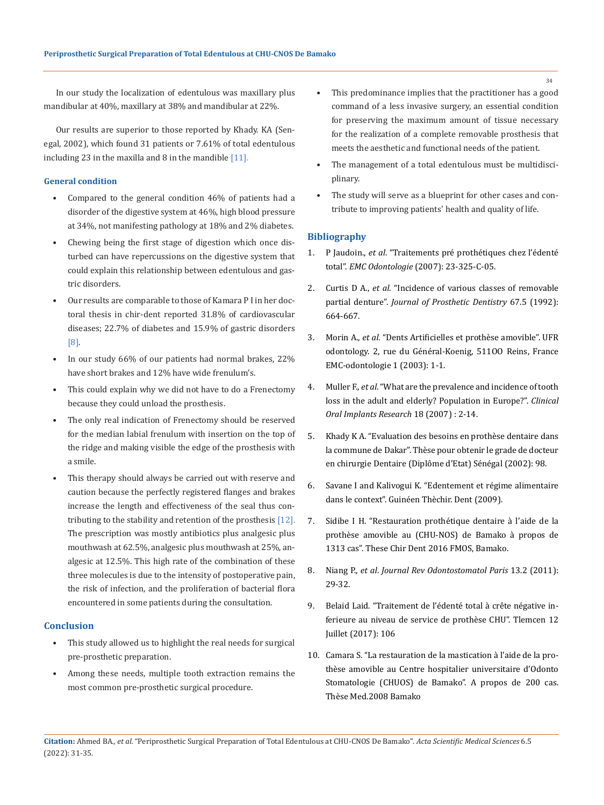In our study the localization of edentulous was maxillary plus mandibular at 40%, maxillary at 38% and mandibular at 22%.

Our results are superior to those reported by Khady. KA (Senegal, 2002), which found 31 patients or 7.61% of total edentulous including 23 in the maxilla and 8 in the mandible  $[11]$ .

# **General condition**

- Compared to the general condition 46% of patients had a disorder of the digestive system at 46%, high blood pressure at 34%, not manifesting pathology at 18% and 2% diabetes.
- Chewing being the first stage of digestion which once disturbed can have repercussions on the digestive system that could explain this relationship between edentulous and gastric disorders.
- Our results are comparable to those of Kamara P I in her doctoral thesis in chir-dent reported 31.8% of cardiovascular diseases; 22.7% of diabetes and 15.9% of gastric disorders [8].
- In our study 66% of our patients had normal brakes, 22% have short brakes and 12% have wide frenulum's.
- This could explain why we did not have to do a Frenectomy because they could unload the prosthesis.
- The only real indication of Frenectomy should be reserved for the median labial frenulum with insertion on the top of the ridge and making visible the edge of the prosthesis with a smile.
- This therapy should always be carried out with reserve and caution because the perfectly registered flanges and brakes increase the length and effectiveness of the seal thus contributing to the stability and retention of the prosthesis [12]. The prescription was mostly antibiotics plus analgesic plus mouthwash at 62.5%, analgesic plus mouthwash at 25%, analgesic at 12.5%. This high rate of the combination of these three molecules is due to the intensity of postoperative pain, the risk of infection, and the proliferation of bacterial flora encountered in some patients during the consultation.

# **Conclusion**

- This study allowed us to highlight the real needs for surgical pre-prosthetic preparation.
- Among these needs, multiple tooth extraction remains the most common pre-prosthetic surgical procedure.
- This predominance implies that the practitioner has a good command of a less invasive surgery, an essential condition for preserving the maximum amount of tissue necessary for the realization of a complete removable prosthesis that meets the aesthetic and functional needs of the patient.
- The management of a total edentulous must be multidisciplinary.
- The study will serve as a blueprint for other cases and contribute to improving patients' health and quality of life.

## **Bibliography**

- 1. P Jaudoin., *et al*[. "Traitements pré prothétiques chez l'édenté](https://www.em-consulte.com/article/65475/traitements-preprothetiques-chez-l-edente-total)  total". *EMC Odontologie* [\(2007\): 23-325-C-05.](https://www.em-consulte.com/article/65475/traitements-preprothetiques-chez-l-edente-total)
- 2. Curtis D A., *et al*[. "Incidence of various classes of removable](https://pubmed.ncbi.nlm.nih.gov/1527752/)  partial denture". *[Journal of Prosthetic Dentistry](https://pubmed.ncbi.nlm.nih.gov/1527752/)* 67.5 (1992): [664-667.](https://pubmed.ncbi.nlm.nih.gov/1527752/)
- 3. Morin A., *et al*[. "Dents Artificielles et prothèse amovible". UFR](https://www.em-consulte.com/article/20450/dents-artificielles-et-prothese-amovible)  [odontology. 2, rue du Général-Koenig, 511OO Reins, France](https://www.em-consulte.com/article/20450/dents-artificielles-et-prothese-amovible)  [EMC-odontologie 1 \(2003\): 1-1.](https://www.em-consulte.com/article/20450/dents-artificielles-et-prothese-amovible)
- 4. Muller F., *et al*[. "What are the prevalence and incidence of tooth](https://pubmed.ncbi.nlm.nih.gov/17594365/)  [loss in the adult and elderly? Population in Europe?".](https://pubmed.ncbi.nlm.nih.gov/17594365/) *Clinical [Oral Implants Research](https://pubmed.ncbi.nlm.nih.gov/17594365/)* 18 (2007) : 2-14.
- 5. [Khady K A. "Evaluation des besoins en prothèse dentaire dans](https://pesquisa.bvsalud.org/portal/resource/pt/afr-189123)  [la commune de Dakar". Thèse pour obtenir le grade de docteur](https://pesquisa.bvsalud.org/portal/resource/pt/afr-189123)  [en chirurgie Dentaire \(Diplôme d'Etat\) Sénégal \(2002\): 98.](https://pesquisa.bvsalud.org/portal/resource/pt/afr-189123)
- 6. Savane I and Kalivogui K. "Edentement et régime alimentaire dans le context". Guinéen Thèchir. Dent (2009).
- 7. Sidibe I H. "Restauration prothétique dentaire à l'aide de la prothèse amovible au (CHU-NOS) de Bamako à propos de 1313 cas". These Chir Dent 2016 FMOS, Bamako.
- 8. Niang P., *et al*. *Journal Rev Odontostomatol Paris* 13.2 (2011): 29-32.
- 9. Belaid Laid. "Traitement de l'édenté total à crête négative inferieure au niveau de service de prothèse CHU". Tlemcen 12 Juillet (2017): 106
- 10. Camara S. "La restauration de la mastication à l'aide de la prothèse amovible au Centre hospitalier universitaire d'Odonto Stomatologie (CHUOS) de Bamako". A propos de 200 cas. Thèse Med.2008 Bamako
- **Citation:** Ahmed BA*., et al.* "Periprosthetic Surgical Preparation of Total Edentulous at CHU-CNOS De Bamako". *Acta Scientific Medical Sciences* 6.5 (2022): 31-35.

34